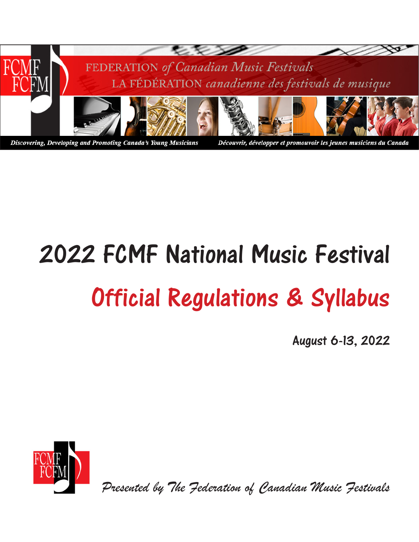

# 2022 FCMF National Music Festival Official Regulations & Syllabus

August 6-13, 2022



*Presented by The Federation of Canadian Music Festivals*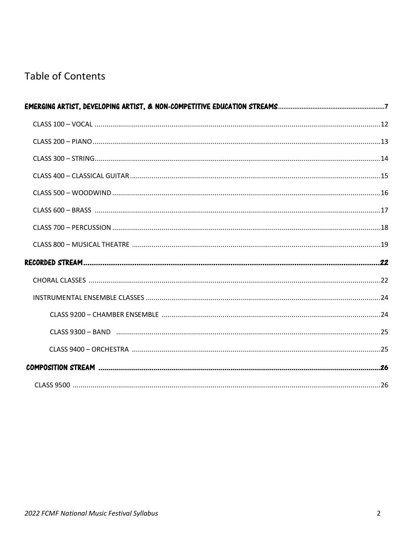# **Table of Contents**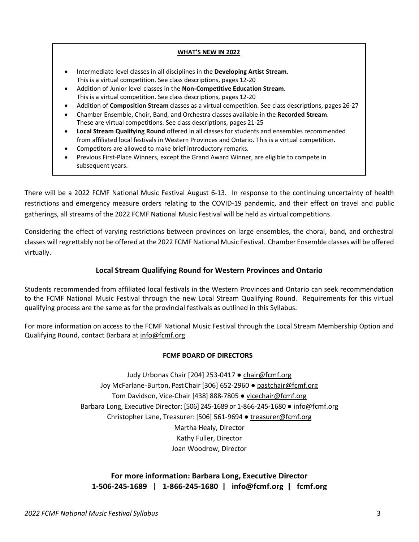#### **WHAT'S NEW IN 2022**

- Intermediate level classes in all disciplines in the **Developing Artist Stream**. This is a virtual competition. See class descriptions, pages 12-20
- Addition of Junior level classes in the **Non-Competitive Education Stream**. This is a virtual competition. See class descriptions, pages 12-20
- Addition of **Composition Stream** classes as a virtual competition. See class descriptions, pages 26-27
- Chamber Ensemble, Choir, Band, and Orchestra classes available in the **Recorded Stream**. These are virtual competitions. See class descriptions, pages 21-25
- **Local Stream Qualifying Round** offered in all classes for students and ensembles recommended from affiliated local festivals in Western Provinces and Ontario. This is a virtual competition.
- Competitors are allowed to make brief introductory remarks.
- **The 2022 FCMF National Music Festival Will be held and august 6-13, 2023** • Previous First-Place Winners, except the Grand Award Winner, are eligible to compete in

There will be a 2022 FCMF National Music Festival August 6-13. In response to the continuing uncertainty of health restrictions and emergency measure orders relating to the COVID-19 pandemic, and their effect on travel and public gatherings, all streams of the 2022 FCMF National Music Festival will be held as virtual competitions.

Considering the effect of varying restrictions between provinces on large ensembles, the choral, band, and orchestral classes will regrettably not be offered at the 2022 FCMF National Music Festival. Chamber Ensemble classes will be offered virtually.

### **Local Stream Qualifying Round for Western Provinces and Ontario**

Students recommended from affiliated local festivals in the Western Provinces and Ontario can seek recommendation to the FCMF National Music Festival through the new Local Stream Qualifying Round. Requirements for this virtual qualifying process are the same as for the provincial festivals as outlined in this Syllabus.

For more information on access to the FCMF National Music Festival through the Local Stream Membership Option and Qualifying Round, contact Barbara at [info@fcmf.org](mailto:info@fcmf.org)

#### **FCMF BOARD OF DIRECTORS**

Judy Urbonas Chair [204] 253-0417 ● [chair@fcmf.org](mailto:chair@fcmf.org) Joy McFarlane-Burton, Past Chair [306] 652-2960 ● [pastchair@fcmf.org](mailto:pastchair@fcmf.org) Tom Davidson, Vice-Chair [438] 888-7805 · [vicechair@fcmf.org](mailto:vicechair@fcmf.org) Barbara Long, Executive Director: [506] 245-1689 or 1-866-245-1680 · [info@fcmf.org](mailto:info@fcmf.org) Christopher Lane, Treasurer: [506] 561-9694 ● [treasurer@fcmf.org](mailto:treasurer@fcmf.org) Martha Healy, Director Kathy Fuller, Director Joan Woodrow, Director

## **For more information: Barbara Long, Executive Director 1-506-245-1689 | 1-866-245-1680 [| info@fcmf.org](mailto:%7C%20%20%20info@fcmf.org) | fcmf.org**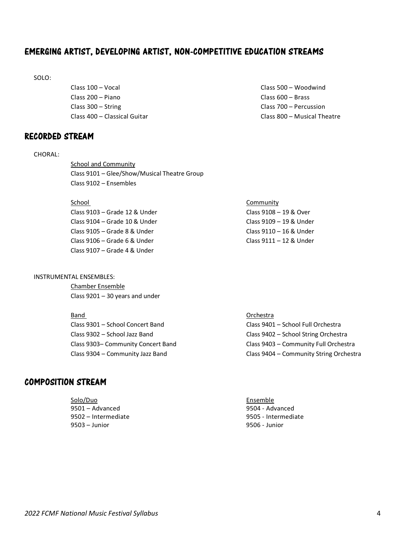# EMERGING ARTIST, DEVELOPING ARTIST, NON-COMPETITIVE EDUCATION STREAMS

SOLO:

Class 100 – Vocal Class 200 – Piano Class 300 – String Class 400 – Classical Guitar

# RECORDED STREAM

#### CHORAL:

School and Community Class 9101 – Glee/Show/Musical Theatre Group Class 9102 – Ensembles

#### School Community

| Class 9103 – Grade 12 & Under | Class 9108 - 19 & Over  |
|-------------------------------|-------------------------|
| Class 9104 – Grade 10 & Under | Class 9109 - 19 & Under |
| Class 9105 – Grade 8 & Under  | Class 9110 - 16 & Under |
| Class 9106 – Grade 6 & Under  | Class 9111 - 12 & Under |
| Class 9107 – Grade 4 & Under  |                         |

#### INSTRUMENTAL ENSEMBLES:

Chamber Ensemble Class 9201 – 30 years and under

| Band                               | Orchestra                               |
|------------------------------------|-----------------------------------------|
| Class 9301 – School Concert Band   | Class 9401 – School Full Orchestra      |
| Class 9302 – School Jazz Band      | Class 9402 - School String Orchestra    |
| Class 9303– Community Concert Band | Class 9403 - Community Full Orchestra   |
| Class 9304 – Community Jazz Band   | Class 9404 - Community String Orchestra |

# COMPOSITION STREAM

| Solo/Duo            |  |
|---------------------|--|
| 9501 - Advanced     |  |
| 9502 – Intermediate |  |
| $9503 -$ Junior     |  |

Class 500 – Woodwind Class 600 – Brass Class 700 – Percussion Class 800 – Musical Theatre

Ensemble 9504 - Advanced 9502 – Intermediate 9505 - Intermediate 9506 - Junior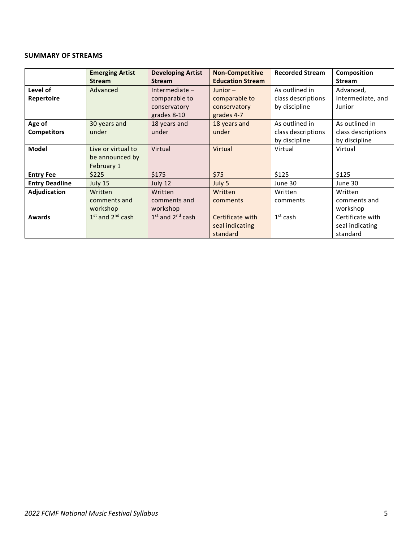#### **SUMMARY OF STREAMS**

|                       | <b>Emerging Artist</b> | <b>Developing Artist</b> | <b>Non-Competitive</b>  | <b>Recorded Stream</b> | Composition        |
|-----------------------|------------------------|--------------------------|-------------------------|------------------------|--------------------|
|                       | <b>Stream</b>          | <b>Stream</b>            | <b>Education Stream</b> |                        | <b>Stream</b>      |
| Level of              | Advanced               | Intermediate $-$         | Junior $-$              | As outlined in         | Advanced,          |
| Repertoire            |                        | comparable to            | comparable to           | class descriptions     | Intermediate, and  |
|                       |                        | conservatory             | conservatory            | by discipline          | Junior             |
|                       |                        | grades 8-10              | grades 4-7              |                        |                    |
| Age of                | 30 years and           | 18 years and             | 18 years and            | As outlined in         | As outlined in     |
| <b>Competitors</b>    | under                  | under                    | under                   | class descriptions     | class descriptions |
|                       |                        |                          |                         | by discipline          | by discipline      |
| Model                 | Live or virtual to     | Virtual                  | Virtual                 | Virtual                | Virtual            |
|                       | be announced by        |                          |                         |                        |                    |
|                       | February 1             |                          |                         |                        |                    |
| <b>Entry Fee</b>      | \$225                  | \$175                    | \$75                    | \$125                  | \$125              |
| <b>Entry Deadline</b> | July 15                | July 12                  | July 5                  | June 30                | June 30            |
| Adjudication          | Written                | Written                  | Written                 | Written                | Written            |
|                       | comments and           | comments and             | comments                | comments               | comments and       |
|                       | workshop               | workshop                 |                         |                        | workshop           |
| Awards                | $1st$ and $2nd$ cash   | $1st$ and $2nd$ cash     | Certificate with        | $1st$ cash             | Certificate with   |
|                       |                        |                          | seal indicating         |                        | seal indicating    |
|                       |                        |                          | standard                |                        | standard           |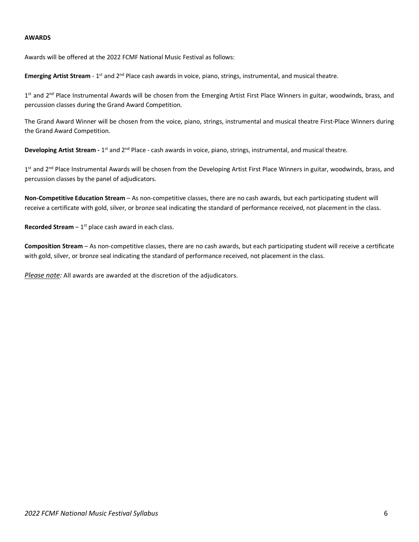#### **AWARDS**

Awards will be offered at the 2022 FCMF National Music Festival as follows:

**Emerging Artist Stream** - 1<sup>st</sup> and 2<sup>nd</sup> Place cash awards in voice, piano, strings, instrumental, and musical theatre.

1<sup>st</sup> and 2<sup>nd</sup> Place Instrumental Awards will be chosen from the Emerging Artist First Place Winners in guitar, woodwinds, brass, and percussion classes during the Grand Award Competition.

The Grand Award Winner will be chosen from the voice, piano, strings, instrumental and musical theatre First-Place Winners during the Grand Award Competition.

**Developing Artist Stream -** 1st and 2nd Place - cash awards in voice, piano, strings, instrumental, and musical theatre.

1<sup>st</sup> and 2<sup>nd</sup> Place Instrumental Awards will be chosen from the Developing Artist First Place Winners in guitar, woodwinds, brass, and percussion classes by the panel of adjudicators.

**Non-Competitive Education Stream** – As non-competitive classes, there are no cash awards, but each participating student will receive a certificate with gold, silver, or bronze seal indicating the standard of performance received, not placement in the class.

**Recorded Stream**  $-1$ <sup>st</sup> place cash award in each class.

**Composition Stream** – As non-competitive classes, there are no cash awards, but each participating student will receive a certificate with gold, silver, or bronze seal indicating the standard of performance received, not placement in the class.

*Please note:* All awards are awarded at the discretion of the adjudicators.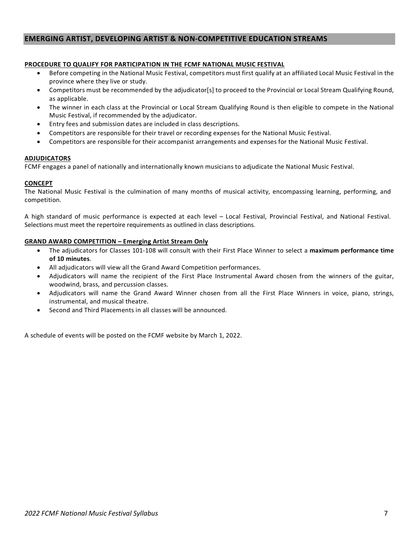#### **EMERGING ARTIST, DEVELOPING ARTIST & NON-COMPETITIVE EDUCATION STREAMS**

#### **PROCEDURE TO QUALIFY FOR PARTICIPATION IN THE FCMF NATIONAL MUSIC FESTIVAL**

- Before competing in the National Music Festival, competitors must first qualify at an affiliated Local Music Festival in the province where they live or study.
- Competitors must be recommended by the adjudicator[s] to proceed to the Provincial or Local Stream Qualifying Round, as applicable.
- The winner in each class at the Provincial or Local Stream Qualifying Round is then eligible to compete in the National Music Festival, if recommended by the adjudicator.
- Entry fees and submission dates are included in class descriptions.
- Competitors are responsible for their travel or recording expenses for the National Music Festival.
- Competitors are responsible for their accompanist arrangements and expenses for the National Music Festival.

#### **ADJUDICATORS**

FCMF engages a panel of nationally and internationally known musicians to adjudicate the National Music Festival.

#### **CONCEPT**

The National Music Festival is the culmination of many months of musical activity, encompassing learning, performing, and competition.

A high standard of music performance is expected at each level – Local Festival, Provincial Festival, and National Festival. Selections must meet the repertoire requirements as outlined in class descriptions.

#### **GRAND AWARD COMPETITION – Emerging Artist Stream Only**

- The adjudicators for Classes 101-108 will consult with their First Place Winner to select a **maximum performance time of 10 minutes**.
- All adjudicators will view all the Grand Award Competition performances.
- Adjudicators will name the recipient of the First Place Instrumental Award chosen from the winners of the guitar, woodwind, brass, and percussion classes.
- Adjudicators will name the Grand Award Winner chosen from all the First Place Winners in voice, piano, strings, instrumental, and musical theatre.
- Second and Third Placements in all classes will be announced.

A schedule of events will be posted on the FCMF website by March 1, 2022.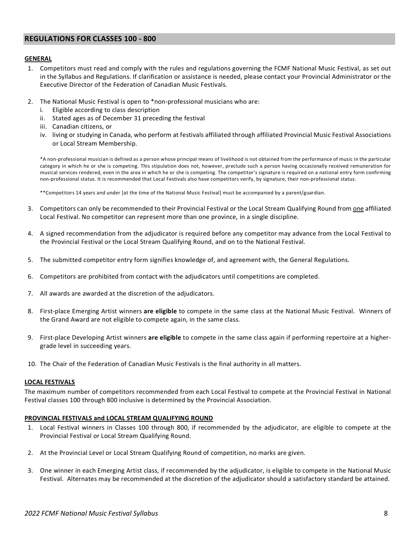#### <span id="page-7-0"></span>**REGULATIONS FOR CLASSES 100 - 800**

#### **GENERAL**

- 1. Competitors must read and comply with the rules and regulations governing the FCMF National Music Festival, as set out in the Syllabus and Regulations. If clarification or assistance is needed, please contact your Provincial Administrator or the Executive Director of the Federation of Canadian Music Festivals.
- 2. The National Music Festival is open to \*non-professional musicians who are:
	- i. Eligible according to class description
	- ii. Stated ages as of December 31 preceding the festival
	- iii. Canadian citizens, or
	- iv. living or studying in Canada, who perform at festivals affiliated through affiliated Provincial Music Festival Associations or Local Stream Membership.

\*A non-professional musician is defined as a person whose principal means of livelihood is not obtained from the performance of music in the particular category in which he or she is competing. This stipulation does not, however, preclude such a person having occasionally received remuneration for musical services rendered, even in the area in which he or she is competing. The competitor's signature is required on a national entry form confirming non-professional status. It is recommended that Local Festivals also have competitors verify, by signature, their non-professional status.

\*\*Competitors 14 years and under [at the time of the National Music Festival] must be accompanied by a parent/guardian.

- 3. Competitors can only be recommended to their Provincial Festival or the Local Stream Qualifying Round from <u>one</u> affiliated Local Festival. No competitor can represent more than one province, in a single discipline.
- 4. A signed recommendation from the adjudicator is required before any competitor may advance from the Local Festival to the Provincial Festival or the Local Stream Qualifying Round, and on to the National Festival.
- 5. The submitted competitor entry form signifies knowledge of, and agreement with, the General Regulations.
- 6. Competitors are prohibited from contact with the adjudicators until competitions are completed.
- 7. All awards are awarded at the discretion of the adjudicators.
- 8. First-place Emerging Artist winners **are eligible** to compete in the same class at the National Music Festival. Winners of the Grand Award are not eligible to compete again, in the same class.
- 9. First-place Developing Artist winners **are eligible** to compete in the same class again if performing repertoire at a highergrade level in succeeding years.
- 10. The Chair of the Federation of Canadian Music Festivals is the final authority in all matters.

#### **LOCAL FESTIVALS**

The maximum number of competitors recommended from each Local Festival to compete at the Provincial Festival in National Festival classes 100 through 800 inclusive is determined by the Provincial Association.

#### **PROVINCIAL FESTIVALS and LOCAL STREAM QUALIFYING ROUND**

- 1. Local Festival winners in Classes 100 through 800, if recommended by the adjudicator, are eligible to compete at the Provincial Festival or Local Stream Qualifying Round.
- 2. At the Provincial Level or Local Stream Qualifying Round of competition, no marks are given.
- 3. One winner in each Emerging Artist class, if recommended by the adjudicator, is eligible to compete in the National Music Festival. Alternates may be recommended at the discretion of the adjudicator should a satisfactory standard be attained.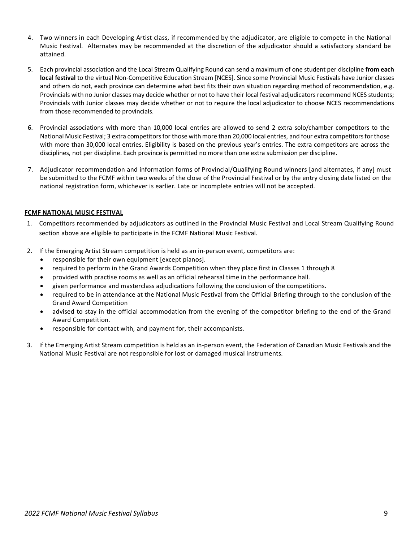- 4. Two winners in each Developing Artist class, if recommended by the adjudicator, are eligible to compete in the National Music Festival. Alternates may be recommended at the discretion of the adjudicator should a satisfactory standard be attained.
- 5. Each provincial association and the Local Stream Qualifying Round can send a maximum of one student per discipline **from each local festival** to the virtual Non-Competitive Education Stream [NCES]. Since some Provincial Music Festivals have Junior classes and others do not, each province can determine what best fits their own situation regarding method of recommendation, e.g. Provincials with no Junior classes may decide whether or not to have their local festival adjudicators recommend NCES students; Provincials with Junior classes may decide whether or not to require the local adjudicator to choose NCES recommendations from those recommended to provincials.
- 6. Provincial associations with more than 10,000 local entries are allowed to send 2 extra solo/chamber competitors to the National Music Festival; 3 extra competitors for those with more than 20,000 local entries, and four extra competitors for those with more than 30,000 local entries. Eligibility is based on the previous year's entries. The extra competitors are across the disciplines, not per discipline. Each province is permitted no more than one extra submission per discipline.
- 7. Adjudicator recommendation and information forms of Provincial/Qualifying Round winners [and alternates, if any] must be submitted to the FCMF within two weeks of the close of the Provincial Festival or by the entry closing date listed on the national registration form, whichever is earlier. Late or incomplete entries will not be accepted.

#### **FCMF NATIONAL MUSIC FESTIVAL**

- 1. Competitors recommended by adjudicators as outlined in the Provincial Music Festival and Local Stream Qualifying Round section above are eligible to participate in the FCMF National Music Festival.
- 2. If the Emerging Artist Stream competition is held as an in-person event, competitors are:
	- responsible for their own equipment [except pianos].
	- required to perform in the Grand Awards Competition when they place first in Classes 1 through 8
	- provided with practise rooms as well as an official rehearsal time in the performance hall.
	- given performance and masterclass adjudications following the conclusion of the competitions.
	- required to be in attendance at the National Music Festival from the Official Briefing through to the conclusion of the Grand Award Competition
	- advised to stay in the official accommodation from the evening of the competitor briefing to the end of the Grand Award Competition.
	- responsible for contact with, and payment for, their accompanists.
- 3. If the Emerging Artist Stream competition is held as an in-person event, the Federation of Canadian Music Festivals and the National Music Festival are not responsible for lost or damaged musical instruments.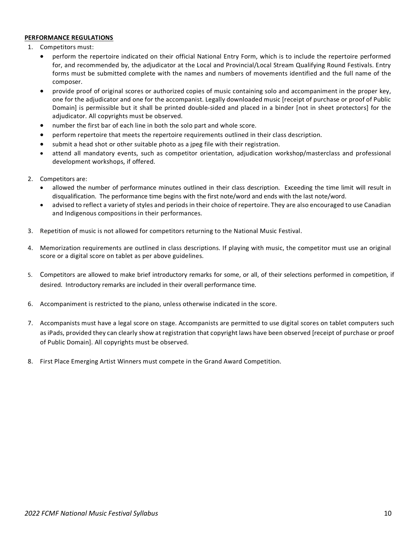#### **PERFORMANCE REGULATIONS**

- 1. Competitors must:
	- perform the repertoire indicated on their official National Entry Form, which is to include the repertoire performed for, and recommended by, the adjudicator at the Local and Provincial/Local Stream Qualifying Round Festivals. Entry forms must be submitted complete with the names and numbers of movements identified and the full name of the composer.
	- provide proof of original scores or authorized copies of music containing solo and accompaniment in the proper key, one for the adjudicator and one for the accompanist. Legally downloaded music [receipt of purchase or proof of Public Domain] is permissible but it shall be printed double-sided and placed in a binder [not in sheet protectors] for the adjudicator. All copyrights must be observed.
	- number the first bar of each line in both the solo part and whole score.
	- perform repertoire that meets the repertoire requirements outlined in their class description.
	- submit a head shot or other suitable photo as a jpeg file with their registration.
	- attend all mandatory events, such as competitor orientation, adjudication workshop/masterclass and professional development workshops, if offered.
- 2. Competitors are:
	- allowed the number of performance minutes outlined in their class description. Exceeding the time limit will result in disqualification. The performance time begins with the first note/word and ends with the last note/word.
	- advised to reflect a variety of styles and periods in their choice of repertoire. They are also encouraged to use Canadian and Indigenous compositions in their performances.
- 3. Repetition of music is not allowed for competitors returning to the National Music Festival.
- 4. Memorization requirements are outlined in class descriptions. If playing with music, the competitor must use an original score or a digital score on tablet as per above guidelines.
- 5. Competitors are allowed to make brief introductory remarks for some, or all, of their selections performed in competition, if desired. Introductory remarks are included in their overall performance time.
- 6. Accompaniment is restricted to the piano, unless otherwise indicated in the score.
- 7. Accompanists must have a legal score on stage. Accompanists are permitted to use digital scores on tablet computers such as iPads, provided they can clearly show at registration that copyright laws have been observed [receipt of purchase or proof of Public Domain]. All copyrights must be observed.
- 8. First Place Emerging Artist Winners must compete in the Grand Award Competition.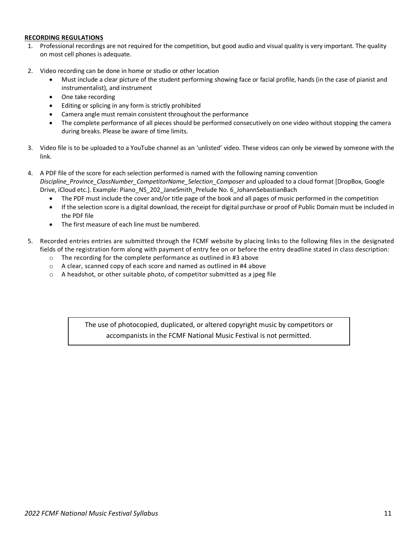#### **RECORDING REGULATIONS**

- 1. Professional recordings are not required for the competition, but good audio and visual quality is very important. The quality on most cell phones is adequate.
- 2. Video recording can be done in home or studio or other location
	- Must include a clear picture of the student performing showing face or facial profile, hands (in the case of pianist and instrumentalist), and instrument
	- One take recording
	- Editing or splicing in any form is strictly prohibited
	- Camera angle must remain consistent throughout the performance
	- The complete performance of all pieces should be performed consecutively on one video without stopping the camera during breaks. Please be aware of time limits.
- 3. Video file is to be uploaded to a YouTube channel as an 'unlisted' video. These videos can only be viewed by someone with the link.
- 4. A PDF file of the score for each selection performed is named with the following naming convention *Discipline\_Province\_ClassNumber\_CompetitorName\_Selection\_Composer* and uploaded to a cloud format [DropBox, Google Drive, iCloud etc.]. Example: Piano\_NS\_202\_JaneSmith\_Prelude No. 6\_JohannSebastianBach
	- The PDF must include the cover and/or title page of the book and all pages of music performed in the competition
	- If the selection score is a digital download, the receipt for digital purchase or proof of Public Domain must be included in the PDF file
	- The first measure of each line must be numbered.
- 5. Recorded entries entries are submitted through the FCMF website by placing links to the following files in the designated fields of the registration form along with payment of entry fee on or before the entry deadline stated in class description:
	- o The recording for the complete performance as outlined in #3 above
	- o A clear, scanned copy of each score and named as outlined in #4 above
	- $\circ$  A headshot, or other suitable photo, of competitor submitted as a jpeg file

The use of photocopied, duplicated, or altered copyright music by competitors or accompanists in the FCMF National Music Festival is not permitted.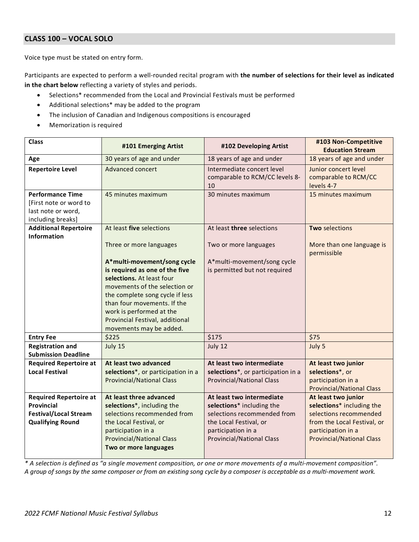#### <span id="page-11-0"></span>**CLASS 100 – VOCAL SOLO**

Voice type must be stated on entry form.

Participants are expected to perform a well-rounded recital program with **the number of selections for their level as indicated in the chart below** reflecting a variety of styles and periods.

- Selections\* recommended from the Local and Provincial Festivals must be performed
- Additional selections\* may be added to the program
- The inclusion of Canadian and Indigenous compositions is encouraged
- Memorization is required

| <b>Class</b>                                                                                           | #101 Emerging Artist                                                                                                                                                                                                                                                                    | #102 Developing Artist                                                                                                                                                    | #103 Non-Competitive<br><b>Education Stream</b>                                                                                                                     |
|--------------------------------------------------------------------------------------------------------|-----------------------------------------------------------------------------------------------------------------------------------------------------------------------------------------------------------------------------------------------------------------------------------------|---------------------------------------------------------------------------------------------------------------------------------------------------------------------------|---------------------------------------------------------------------------------------------------------------------------------------------------------------------|
| Age                                                                                                    | 30 years of age and under                                                                                                                                                                                                                                                               | 18 years of age and under                                                                                                                                                 | 18 years of age and under                                                                                                                                           |
| <b>Repertoire Level</b><br><b>Performance Time</b>                                                     | Advanced concert<br>45 minutes maximum                                                                                                                                                                                                                                                  | Intermediate concert level<br>comparable to RCM/CC levels 8-<br>10<br>30 minutes maximum                                                                                  | Junior concert level<br>comparable to RCM/CC<br>levels 4-7<br>15 minutes maximum                                                                                    |
| [First note or word to<br>last note or word,<br>including breaks]                                      |                                                                                                                                                                                                                                                                                         |                                                                                                                                                                           |                                                                                                                                                                     |
| <b>Additional Repertoire</b><br><b>Information</b>                                                     | At least five selections<br>Three or more languages                                                                                                                                                                                                                                     | At least three selections<br>Two or more languages                                                                                                                        | Two selections<br>More than one language is<br>permissible                                                                                                          |
|                                                                                                        | A*multi-movement/song cycle<br>is required as one of the five<br>selections. At least four<br>movements of the selection or<br>the complete song cycle if less<br>than four movements. If the<br>work is performed at the<br>Provincial Festival, additional<br>movements may be added. | A*multi-movement/song cycle<br>is permitted but not required                                                                                                              |                                                                                                                                                                     |
| <b>Entry Fee</b>                                                                                       | \$225                                                                                                                                                                                                                                                                                   | \$175                                                                                                                                                                     | \$75                                                                                                                                                                |
| <b>Registration and</b><br><b>Submission Deadline</b>                                                  | July 15                                                                                                                                                                                                                                                                                 | July 12                                                                                                                                                                   | July 5                                                                                                                                                              |
| <b>Required Repertoire at</b><br><b>Local Festival</b>                                                 | At least two advanced<br>selections*, or participation in a<br><b>Provincial/National Class</b>                                                                                                                                                                                         | At least two intermediate<br>selections*, or participation in a<br><b>Provincial/National Class</b>                                                                       | At least two junior<br>selections*, or<br>participation in a<br><b>Provincial/National Class</b>                                                                    |
| <b>Required Repertoire at</b><br>Provincial<br><b>Festival/Local Stream</b><br><b>Qualifying Round</b> | At least three advanced<br>selections*, including the<br>selections recommended from<br>the Local Festival, or<br>participation in a<br><b>Provincial/National Class</b><br>Two or more languages                                                                                       | At least two intermediate<br>selections* including the<br>selections recommended from<br>the Local Festival, or<br>participation in a<br><b>Provincial/National Class</b> | At least two junior<br>selections* including the<br>selections recommended<br>from the Local Festival, or<br>participation in a<br><b>Provincial/National Class</b> |

*\* A selection is defined as "a single movement composition, or one or more movements of a multi-movement composition". A group of songs by the same composer or from an existing song cycle by a composer is acceptable as a multi-movement work.*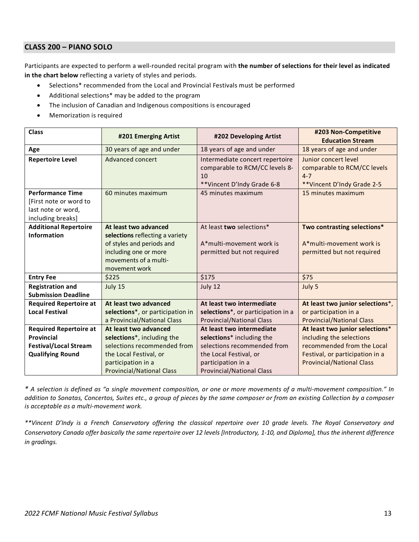#### <span id="page-12-0"></span>**CLASS 200 – PIANO SOLO**

Participants are expected to perform a well-rounded recital program with **the number of selections for their level as indicated in the chart below** reflecting a variety of styles and periods.

- Selections\* recommended from the Local and Provincial Festivals must be performed
- Additional selections\* may be added to the program
- The inclusion of Canadian and Indigenous compositions is encouraged
- Memorization is required

| <b>Class</b>                                                                                 | #201 Emerging Artist                                                                                                                                     | #202 Developing Artist                                                                                | #203 Non-Competitive<br><b>Education Stream</b>                                               |
|----------------------------------------------------------------------------------------------|----------------------------------------------------------------------------------------------------------------------------------------------------------|-------------------------------------------------------------------------------------------------------|-----------------------------------------------------------------------------------------------|
| Age                                                                                          | 30 years of age and under                                                                                                                                | 18 years of age and under                                                                             | 18 years of age and under                                                                     |
| <b>Repertoire Level</b>                                                                      | Advanced concert                                                                                                                                         | Intermediate concert repertoire<br>comparable to RCM/CC levels 8-<br>10<br>**Vincent D'Indy Grade 6-8 | Junior concert level<br>comparable to RCM/CC levels<br>$4 - 7$<br>** Vincent D'Indy Grade 2-5 |
| <b>Performance Time</b><br>[First note or word to<br>last note or word,<br>including breaks] | 60 minutes maximum                                                                                                                                       | 45 minutes maximum                                                                                    | 15 minutes maximum                                                                            |
| <b>Additional Repertoire</b><br><b>Information</b>                                           | At least two advanced<br>selections reflecting a variety<br>of styles and periods and<br>including one or more<br>movements of a multi-<br>movement work | At least two selections*<br>A*multi-movement work is<br>permitted but not required                    | Two contrasting selections*<br>A*multi-movement work is<br>permitted but not required         |
| <b>Entry Fee</b>                                                                             | \$225                                                                                                                                                    | \$175                                                                                                 | \$75                                                                                          |
| <b>Registration and</b><br><b>Submission Deadline</b>                                        | July 15                                                                                                                                                  | July 12                                                                                               | July 5                                                                                        |
| <b>Required Repertoire at</b>                                                                | At least two advanced                                                                                                                                    | At least two intermediate                                                                             | At least two junior selections*,                                                              |
| <b>Local Festival</b>                                                                        | selections*, or participation in                                                                                                                         | selections*, or participation in a                                                                    | or participation in a                                                                         |
|                                                                                              | a Provincial/National Class                                                                                                                              | <b>Provincial/National Class</b>                                                                      | <b>Provincial/National Class</b>                                                              |
| <b>Required Repertoire at</b>                                                                | At least two advanced                                                                                                                                    | At least two intermediate                                                                             | At least two junior selections*                                                               |
| <b>Provincial</b>                                                                            | selections*, including the                                                                                                                               | selections* including the                                                                             | including the selections                                                                      |
| <b>Festival/Local Stream</b>                                                                 | selections recommended from                                                                                                                              | selections recommended from                                                                           | recommended from the Local                                                                    |
| <b>Qualifying Round</b>                                                                      | the Local Festival, or                                                                                                                                   | the Local Festival, or                                                                                | Festival, or participation in a                                                               |
|                                                                                              | participation in a                                                                                                                                       | participation in a                                                                                    | <b>Provincial/National Class</b>                                                              |
|                                                                                              | <b>Provincial/National Class</b>                                                                                                                         | <b>Provincial/National Class</b>                                                                      |                                                                                               |

*\* A selection is defined as "a single movement composition, or one or more movements of a multi-movement composition." In addition to Sonatas, Concertos, Suites etc., a group of pieces by the same composer or from an existing Collection by a composer is acceptable as a multi-movement work.*

*\*\*Vincent D'Indy is a French Conservatory offering the classical repertoire over 10 grade levels. The Royal Conservatory and Conservatory Canada offer basically the same repertoire over 12 levels [Introductory, 1-10, and Diploma], thus the inherent difference in gradings.*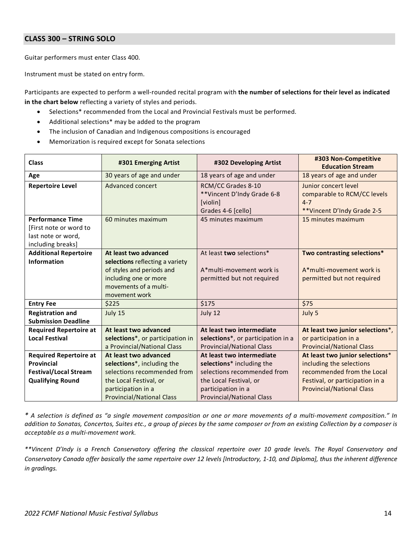#### <span id="page-13-0"></span>**CLASS 300 – STRING SOLO**

Guitar performers must enter Class 400.

Instrument must be stated on entry form.

Participants are expected to perform a well-rounded recital program with **the number of selections for their level as indicated in the chart below** reflecting a variety of styles and periods.

- Selections\* recommended from the Local and Provincial Festivals must be performed.
- Additional selections\* may be added to the program
- The inclusion of Canadian and Indigenous compositions is encouraged
- Memorization is required except for Sonata selections

| <b>Class</b>                                                                                 | #301 Emerging Artist                                                                                                                                     | #302 Developing Artist                                                             | #303 Non-Competitive<br><b>Education Stream</b>                                               |
|----------------------------------------------------------------------------------------------|----------------------------------------------------------------------------------------------------------------------------------------------------------|------------------------------------------------------------------------------------|-----------------------------------------------------------------------------------------------|
| Age                                                                                          | 30 years of age and under                                                                                                                                | 18 years of age and under                                                          | 18 years of age and under                                                                     |
| <b>Repertoire Level</b>                                                                      | Advanced concert                                                                                                                                         | RCM/CC Grades 8-10<br>**Vincent D'Indy Grade 6-8<br>[violin]<br>Grades 4-6 [cello] | Junior concert level<br>comparable to RCM/CC levels<br>$4 - 7$<br>** Vincent D'Indy Grade 2-5 |
| <b>Performance Time</b><br>[First note or word to<br>last note or word,<br>including breaks] | 60 minutes maximum                                                                                                                                       | 45 minutes maximum                                                                 | 15 minutes maximum                                                                            |
| <b>Additional Repertoire</b><br><b>Information</b>                                           | At least two advanced<br>selections reflecting a variety<br>of styles and periods and<br>including one or more<br>movements of a multi-<br>movement work | At least two selections*<br>A*multi-movement work is<br>permitted but not required | Two contrasting selections*<br>A*multi-movement work is<br>permitted but not required         |
| <b>Entry Fee</b>                                                                             | \$225                                                                                                                                                    | \$175                                                                              | \$75                                                                                          |
| <b>Registration and</b><br><b>Submission Deadline</b>                                        | July 15                                                                                                                                                  | July 12                                                                            | July 5                                                                                        |
| <b>Required Repertoire at</b>                                                                | At least two advanced                                                                                                                                    | At least two intermediate                                                          | At least two junior selections*,                                                              |
| <b>Local Festival</b>                                                                        | selections*, or participation in<br>a Provincial/National Class                                                                                          | selections*, or participation in a<br><b>Provincial/National Class</b>             | or participation in a<br><b>Provincial/National Class</b>                                     |
| <b>Required Repertoire at</b>                                                                | At least two advanced                                                                                                                                    | At least two intermediate                                                          | At least two junior selections*                                                               |
| Provincial                                                                                   | selections*, including the                                                                                                                               | selections* including the                                                          | including the selections                                                                      |
| <b>Festival/Local Stream</b><br><b>Qualifying Round</b>                                      | selections recommended from<br>the Local Festival, or                                                                                                    | selections recommended from<br>the Local Festival, or                              | recommended from the Local<br>Festival, or participation in a                                 |
|                                                                                              | participation in a<br><b>Provincial/National Class</b>                                                                                                   | participation in a<br><b>Provincial/National Class</b>                             | <b>Provincial/National Class</b>                                                              |

*\* A selection is defined as "a single movement composition or one or more movements of a multi-movement composition." In addition to Sonatas, Concertos, Suites etc., a group of pieces by the same composer or from an existing Collection by a composer is acceptable as a multi-movement work.*

*\*\*Vincent D'Indy is a French Conservatory offering the classical repertoire over 10 grade levels. The Royal Conservatory and Conservatory Canada offer basically the same repertoire over 12 levels [Introductory, 1-10, and Diploma], thus the inherent difference in gradings.*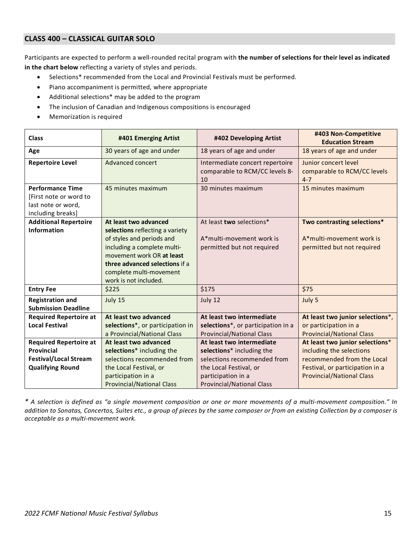### <span id="page-14-0"></span>**CLASS 400 – CLASSICAL GUITAR SOLO**

Participants are expected to perform a well-rounded recital program with **the number of selections for their level as indicated in the chart below** reflecting a variety of styles and periods.

- Selections\* recommended from the Local and Provincial Festivals must be performed.
- Piano accompaniment is permitted, where appropriate
- Additional selections\* may be added to the program
- The inclusion of Canadian and Indigenous compositions is encouraged
- Memorization is required

<span id="page-14-1"></span>

| <b>Class</b>                                                                                 | #401 Emerging Artist                                                                                                                                                                                                                    | #402 Developing Artist                                                                              | #403 Non-Competitive<br><b>Education Stream</b>                                               |
|----------------------------------------------------------------------------------------------|-----------------------------------------------------------------------------------------------------------------------------------------------------------------------------------------------------------------------------------------|-----------------------------------------------------------------------------------------------------|-----------------------------------------------------------------------------------------------|
| Age                                                                                          | 30 years of age and under                                                                                                                                                                                                               | 18 years of age and under                                                                           | 18 years of age and under                                                                     |
| <b>Repertoire Level</b>                                                                      | Advanced concert                                                                                                                                                                                                                        | Intermediate concert repertoire<br>comparable to RCM/CC levels 8-<br>10                             | Junior concert level<br>comparable to RCM/CC levels<br>$4 - 7$                                |
| <b>Performance Time</b><br>[First note or word to<br>last note or word,<br>including breaks] | 45 minutes maximum                                                                                                                                                                                                                      | 30 minutes maximum                                                                                  | 15 minutes maximum                                                                            |
| <b>Additional Repertoire</b><br><b>Information</b>                                           | At least two advanced<br>selections reflecting a variety<br>of styles and periods and<br>including a complete multi-<br>movement work OR at least<br>three advanced selections if a<br>complete multi-movement<br>work is not included. | At least two selections*<br>A*multi-movement work is<br>permitted but not required                  | Two contrasting selections*<br>A*multi-movement work is<br>permitted but not required         |
| <b>Entry Fee</b>                                                                             | \$225                                                                                                                                                                                                                                   | \$175                                                                                               | \$75                                                                                          |
| <b>Registration and</b><br><b>Submission Deadline</b>                                        | July 15                                                                                                                                                                                                                                 | July 12                                                                                             | July 5                                                                                        |
| <b>Required Repertoire at</b><br><b>Local Festival</b>                                       | At least two advanced<br>selections*, or participation in<br>a Provincial/National Class                                                                                                                                                | At least two intermediate<br>selections*, or participation in a<br><b>Provincial/National Class</b> | At least two junior selections*,<br>or participation in a<br><b>Provincial/National Class</b> |
| <b>Required Repertoire at</b>                                                                | At least two advanced                                                                                                                                                                                                                   | At least two intermediate                                                                           | At least two junior selections*                                                               |
| Provincial                                                                                   | selections* including the                                                                                                                                                                                                               | selections* including the                                                                           | including the selections                                                                      |
| <b>Festival/Local Stream</b>                                                                 | selections recommended from                                                                                                                                                                                                             | selections recommended from                                                                         | recommended from the Local                                                                    |
| <b>Qualifying Round</b>                                                                      | the Local Festival, or<br>participation in a<br><b>Provincial/National Class</b>                                                                                                                                                        | the Local Festival, or<br>participation in a<br><b>Provincial/National Class</b>                    | Festival, or participation in a<br><b>Provincial/National Class</b>                           |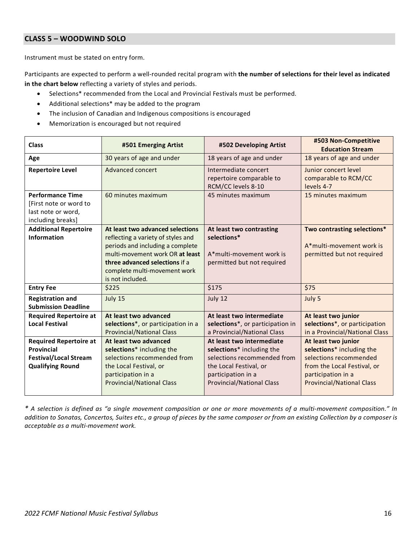#### **CLASS 5 – WOODWIND SOLO**

Instrument must be stated on entry form.

Participants are expected to perform a well-rounded recital program with **the number of selections for their level as indicated in the chart below** reflecting a variety of styles and periods.

- Selections\* recommended from the Local and Provincial Festivals must be performed.
- Additional selections\* may be added to the program
- The inclusion of Canadian and Indigenous compositions is encouraged
- Memorization is encouraged but not required

<span id="page-15-0"></span>

| <b>Class</b>                                                                                                  | #501 Emerging Artist                                                                                                                                                                                                                | #502 Developing Artist                                                                                                                                                    | #503 Non-Competitive<br><b>Education Stream</b>                                                                                                                     |
|---------------------------------------------------------------------------------------------------------------|-------------------------------------------------------------------------------------------------------------------------------------------------------------------------------------------------------------------------------------|---------------------------------------------------------------------------------------------------------------------------------------------------------------------------|---------------------------------------------------------------------------------------------------------------------------------------------------------------------|
| Age                                                                                                           | 30 years of age and under                                                                                                                                                                                                           | 18 years of age and under                                                                                                                                                 | 18 years of age and under                                                                                                                                           |
| <b>Repertoire Level</b>                                                                                       | Advanced concert                                                                                                                                                                                                                    | Intermediate concert<br>repertoire comparable to<br>RCM/CC levels 8-10                                                                                                    | Junior concert level<br>comparable to RCM/CC<br>levels 4-7                                                                                                          |
| <b>Performance Time</b><br>[First note or word to<br>last note or word,<br>including breaks]                  | 60 minutes maximum                                                                                                                                                                                                                  | 45 minutes maximum                                                                                                                                                        | 15 minutes maximum                                                                                                                                                  |
| <b>Additional Repertoire</b><br><b>Information</b>                                                            | At least two advanced selections<br>reflecting a variety of styles and<br>periods and including a complete<br>multi-movement work OR at least<br>three advanced selections if a<br>complete multi-movement work<br>is not included. | At least two contrasting<br>selections*<br>A*multi-movement work is<br>permitted but not required                                                                         | Two contrasting selections*<br>A*multi-movement work is<br>permitted but not required                                                                               |
| <b>Entry Fee</b>                                                                                              | \$225                                                                                                                                                                                                                               | \$175                                                                                                                                                                     | \$75                                                                                                                                                                |
| <b>Registration and</b><br><b>Submission Deadline</b>                                                         | July 15                                                                                                                                                                                                                             | July 12                                                                                                                                                                   | July 5                                                                                                                                                              |
| <b>Required Repertoire at</b><br><b>Local Festival</b>                                                        | At least two advanced<br>selections*, or participation in a<br><b>Provincial/National Class</b>                                                                                                                                     | At least two intermediate<br>selections*, or participation in<br>a Provincial/National Class                                                                              | At least two junior<br>selections*, or participation<br>in a Provincial/National Class                                                                              |
| <b>Required Repertoire at</b><br><b>Provincial</b><br><b>Festival/Local Stream</b><br><b>Qualifying Round</b> | At least two advanced<br>selections* including the<br>selections recommended from<br>the Local Festival, or<br>participation in a<br><b>Provincial/National Class</b>                                                               | At least two intermediate<br>selections* including the<br>selections recommended from<br>the Local Festival, or<br>participation in a<br><b>Provincial/National Class</b> | At least two junior<br>selections* including the<br>selections recommended<br>from the Local Festival, or<br>participation in a<br><b>Provincial/National Class</b> |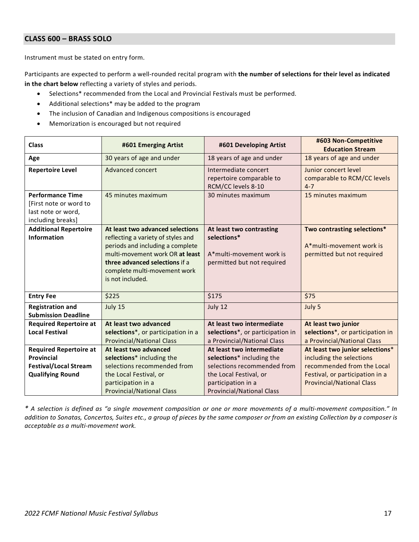#### **CLASS 600 – BRASS SOLO**

Instrument must be stated on entry form.

Participants are expected to perform a well-rounded recital program with **the number of selections for their level as indicated in the chart below** reflecting a variety of styles and periods.

- Selections\* recommended from the Local and Provincial Festivals must be performed.
- Additional selections\* may be added to the program
- The inclusion of Canadian and Indigenous compositions is encouraged
- Memorization is encouraged but not required

| <b>Class</b>                                                            | #601 Emerging Artist                                                                                                                                                                                                                | #601 Developing Artist                                                                            | #603 Non-Competitive<br><b>Education Stream</b>                                       |
|-------------------------------------------------------------------------|-------------------------------------------------------------------------------------------------------------------------------------------------------------------------------------------------------------------------------------|---------------------------------------------------------------------------------------------------|---------------------------------------------------------------------------------------|
| Age                                                                     | 30 years of age and under                                                                                                                                                                                                           | 18 years of age and under                                                                         | 18 years of age and under                                                             |
| <b>Repertoire Level</b>                                                 | Advanced concert                                                                                                                                                                                                                    | Intermediate concert<br>repertoire comparable to<br>RCM/CC levels 8-10                            | Junior concert level<br>comparable to RCM/CC levels<br>$4 - 7$                        |
| <b>Performance Time</b><br>[First note or word to<br>last note or word, | 45 minutes maximum                                                                                                                                                                                                                  | 30 minutes maximum                                                                                | 15 minutes maximum                                                                    |
| including breaks]                                                       |                                                                                                                                                                                                                                     |                                                                                                   |                                                                                       |
| <b>Additional Repertoire</b><br><b>Information</b>                      | At least two advanced selections<br>reflecting a variety of styles and<br>periods and including a complete<br>multi-movement work OR at least<br>three advanced selections if a<br>complete multi-movement work<br>is not included. | At least two contrasting<br>selections*<br>A*multi-movement work is<br>permitted but not required | Two contrasting selections*<br>A*multi-movement work is<br>permitted but not required |
| <b>Entry Fee</b>                                                        | \$225                                                                                                                                                                                                                               | \$175                                                                                             | \$75                                                                                  |
| <b>Registration and</b><br><b>Submission Deadline</b>                   | July 15                                                                                                                                                                                                                             | July 12                                                                                           | July 5                                                                                |
| <b>Required Repertoire at</b>                                           | At least two advanced                                                                                                                                                                                                               | At least two intermediate                                                                         | At least two junior                                                                   |
| <b>Local Festival</b>                                                   | selections*, or participation in a<br><b>Provincial/National Class</b>                                                                                                                                                              | selections*, or participation in<br>a Provincial/National Class                                   | selections*, or participation in<br>a Provincial/National Class                       |
| <b>Required Repertoire at</b>                                           | At least two advanced                                                                                                                                                                                                               | At least two intermediate                                                                         | At least two junior selections*                                                       |
| <b>Provincial</b>                                                       | selections* including the                                                                                                                                                                                                           | selections* including the                                                                         | including the selections                                                              |
| <b>Festival/Local Stream</b>                                            | selections recommended from                                                                                                                                                                                                         | selections recommended from                                                                       | recommended from the Local                                                            |
| <b>Qualifying Round</b>                                                 | the Local Festival, or<br>participation in a<br><b>Provincial/National Class</b>                                                                                                                                                    | the Local Festival, or<br>participation in a<br><b>Provincial/National Class</b>                  | Festival, or participation in a<br><b>Provincial/National Class</b>                   |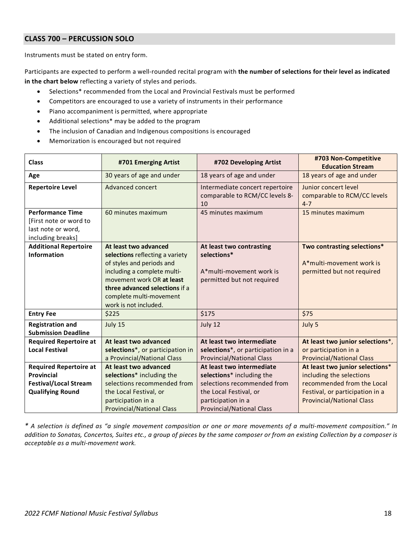#### <span id="page-17-0"></span>**CLASS 700 – PERCUSSION SOLO**

Instruments must be stated on entry form.

Participants are expected to perform a well-rounded recital program with **the number of selections for their level as indicated in the chart below** reflecting a variety of styles and periods.

- Selections\* recommended from the Local and Provincial Festivals must be performed
- Competitors are encouraged to use a variety of instruments in their performance
- Piano accompaniment is permitted, where appropriate
- Additional selections\* may be added to the program
- The inclusion of Canadian and Indigenous compositions is encouraged
- Memorization is encouraged but not required

<span id="page-17-1"></span>

| <b>Class</b>                  | #701 Emerging Artist             | #702 Developing Artist                                                  | #703 Non-Competitive<br><b>Education Stream</b>                |
|-------------------------------|----------------------------------|-------------------------------------------------------------------------|----------------------------------------------------------------|
| Age                           | 30 years of age and under        | 18 years of age and under                                               | 18 years of age and under                                      |
| <b>Repertoire Level</b>       | Advanced concert                 | Intermediate concert repertoire<br>comparable to RCM/CC levels 8-<br>10 | Junior concert level<br>comparable to RCM/CC levels<br>$4 - 7$ |
| <b>Performance Time</b>       | 60 minutes maximum               | 45 minutes maximum                                                      | 15 minutes maximum                                             |
| [First note or word to        |                                  |                                                                         |                                                                |
| last note or word,            |                                  |                                                                         |                                                                |
| including breaks]             |                                  |                                                                         |                                                                |
| <b>Additional Repertoire</b>  | At least two advanced            | At least two contrasting                                                | Two contrasting selections*                                    |
| <b>Information</b>            | selections reflecting a variety  | selections*                                                             |                                                                |
|                               | of styles and periods and        |                                                                         | A*multi-movement work is                                       |
|                               | including a complete multi-      | A*multi-movement work is                                                | permitted but not required                                     |
|                               | movement work OR at least        | permitted but not required                                              |                                                                |
|                               | three advanced selections if a   |                                                                         |                                                                |
|                               | complete multi-movement          |                                                                         |                                                                |
|                               | work is not included.            |                                                                         |                                                                |
| <b>Entry Fee</b>              | \$225                            | \$175                                                                   | \$75                                                           |
| <b>Registration and</b>       | July 15                          | July 12                                                                 | July 5                                                         |
| <b>Submission Deadline</b>    |                                  |                                                                         |                                                                |
| <b>Required Repertoire at</b> | At least two advanced            | At least two intermediate                                               | At least two junior selections*,                               |
| <b>Local Festival</b>         | selections*, or participation in | selections*, or participation in a                                      | or participation in a                                          |
|                               | a Provincial/National Class      | <b>Provincial/National Class</b>                                        | <b>Provincial/National Class</b>                               |
| <b>Required Repertoire at</b> | At least two advanced            | At least two intermediate                                               | At least two junior selections*                                |
| <b>Provincial</b>             | selections* including the        | selections* including the                                               | including the selections                                       |
| <b>Festival/Local Stream</b>  | selections recommended from      | selections recommended from                                             | recommended from the Local                                     |
| <b>Qualifying Round</b>       | the Local Festival, or           | the Local Festival, or                                                  | Festival, or participation in a                                |
|                               | participation in a               | participation in a                                                      | <b>Provincial/National Class</b>                               |
|                               | <b>Provincial/National Class</b> | <b>Provincial/National Class</b>                                        |                                                                |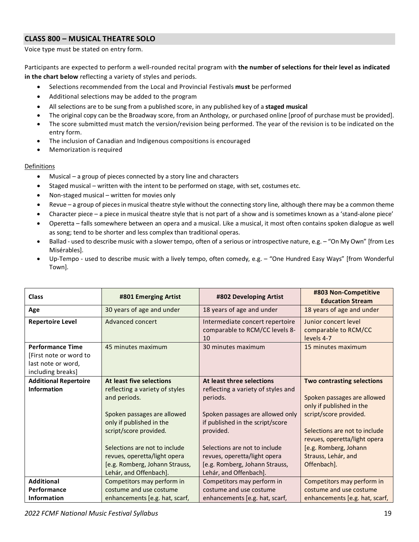#### **CLASS 800 – MUSICAL THEATRE SOLO**

Voice type must be stated on entry form.

Participants are expected to perform a well-rounded recital program with **the number of selections for their level as indicated in the chart below** reflecting a variety of styles and periods.

- Selections recommended from the Local and Provincial Festivals **must** be performed
- Additional selections may be added to the program
- All selections are to be sung from a published score, in any published key of a **staged musical**
- The original copy can be the Broadway score, from an Anthology, or purchased online [proof of purchase must be provided].
- The score submitted must match the version/revision being performed. The year of the revision is to be indicated on the entry form.
- The inclusion of Canadian and Indigenous compositions is encouraged
- Memorization is required

#### Definitions

- Musical a group of pieces connected by a story line and characters
- Staged musical written with the intent to be performed on stage, with set, costumes etc.
- Non-staged musical written for movies only
- Revue a group of pieces in musical theatre style without the connecting story line, although there may be a common theme
- Character piece a piece in musical theatre style that is not part of a show and is sometimes known as a 'stand-alone piece'
- Operetta falls somewhere between an opera and a musical. Like a musical, it most often contains spoken dialogue as well as song; tend to be shorter and less complex than traditional operas.
- Ballad used to describe music with a slower tempo, often of a serious or introspective nature, e.g. "On My Own" [from Les Misérables].
- Up-Tempo used to describe music with a lively tempo, often comedy, e.g. "One Hundred Easy Ways" [from Wonderful Town].

| <b>Class</b>                                                                                 | #801 Emerging Artist                                                                                                      | #802 Developing Artist                                                                                                 | #803 Non-Competitive<br><b>Education Stream</b>                                                                              |
|----------------------------------------------------------------------------------------------|---------------------------------------------------------------------------------------------------------------------------|------------------------------------------------------------------------------------------------------------------------|------------------------------------------------------------------------------------------------------------------------------|
| Age                                                                                          | 30 years of age and under                                                                                                 | 18 years of age and under                                                                                              | 18 years of age and under                                                                                                    |
| <b>Repertoire Level</b>                                                                      | Advanced concert                                                                                                          | Intermediate concert repertoire<br>comparable to RCM/CC levels 8-<br>10                                                | Junior concert level<br>comparable to RCM/CC<br>levels 4-7                                                                   |
| <b>Performance Time</b><br>[First note or word to<br>last note or word,<br>including breaks] | 45 minutes maximum                                                                                                        | 30 minutes maximum                                                                                                     | 15 minutes maximum                                                                                                           |
| <b>Additional Repertoire</b>                                                                 | At least five selections                                                                                                  | At least three selections                                                                                              | Two contrasting selections                                                                                                   |
| <b>Information</b>                                                                           | reflecting a variety of styles<br>and periods.<br>Spoken passages are allowed<br>only if published in the                 | reflecting a variety of styles and<br>periods.<br>Spoken passages are allowed only<br>if published in the script/score | Spoken passages are allowed<br>only if published in the<br>script/score provided.                                            |
|                                                                                              | script/score provided.<br>Selections are not to include<br>revues, operetta/light opera<br>[e.g. Romberg, Johann Strauss, | provided.<br>Selections are not to include<br>revues, operetta/light opera<br>[e.g. Romberg, Johann Strauss,           | Selections are not to include<br>revues, operetta/light opera<br>[e.g. Romberg, Johann<br>Strauss, Lehár, and<br>Offenbach]. |
|                                                                                              | Lehár, and Offenbach].                                                                                                    | Lehár, and Offenbach].                                                                                                 |                                                                                                                              |
| <b>Additional</b><br>Performance                                                             | Competitors may perform in<br>costume and use costume                                                                     | Competitors may perform in<br>costume and use costume                                                                  | Competitors may perform in<br>costume and use costume                                                                        |
| <b>Information</b>                                                                           | enhancements [e.g. hat, scarf,                                                                                            | enhancements [e.g. hat, scarf,                                                                                         | enhancements [e.g. hat, scarf,                                                                                               |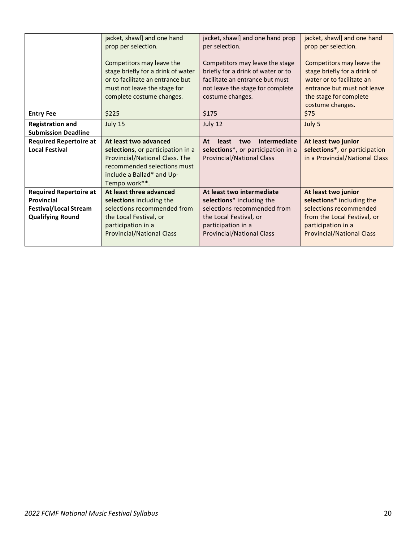|                                                       | jacket, shawl] and one hand<br>prop per selection.<br>Competitors may leave the<br>stage briefly for a drink of water<br>or to facilitate an entrance but<br>must not leave the stage for<br>complete costume changes. | jacket, shawl] and one hand prop<br>per selection.<br>Competitors may leave the stage<br>briefly for a drink of water or to<br>facilitate an entrance but must<br>not leave the stage for complete<br>costume changes. | jacket, shawl] and one hand<br>prop per selection.<br>Competitors may leave the<br>stage briefly for a drink of<br>water or to facilitate an<br>entrance but must not leave<br>the stage for complete<br>costume changes. |
|-------------------------------------------------------|------------------------------------------------------------------------------------------------------------------------------------------------------------------------------------------------------------------------|------------------------------------------------------------------------------------------------------------------------------------------------------------------------------------------------------------------------|---------------------------------------------------------------------------------------------------------------------------------------------------------------------------------------------------------------------------|
| <b>Entry Fee</b>                                      | \$225                                                                                                                                                                                                                  | \$175                                                                                                                                                                                                                  | \$75                                                                                                                                                                                                                      |
| <b>Registration and</b><br><b>Submission Deadline</b> | July 15                                                                                                                                                                                                                | July 12                                                                                                                                                                                                                | July 5                                                                                                                                                                                                                    |
|                                                       |                                                                                                                                                                                                                        |                                                                                                                                                                                                                        |                                                                                                                                                                                                                           |
| <b>Required Repertoire at</b>                         | At least two advanced                                                                                                                                                                                                  | intermediate<br>At<br>least<br>two                                                                                                                                                                                     | At least two junior                                                                                                                                                                                                       |
| <b>Local Festival</b>                                 | selections, or participation in a                                                                                                                                                                                      | selections*, or participation in a                                                                                                                                                                                     | selections*, or participation                                                                                                                                                                                             |
|                                                       | Provincial/National Class. The                                                                                                                                                                                         | <b>Provincial/National Class</b>                                                                                                                                                                                       | in a Provincial/National Class                                                                                                                                                                                            |
|                                                       | recommended selections must                                                                                                                                                                                            |                                                                                                                                                                                                                        |                                                                                                                                                                                                                           |
|                                                       | include a Ballad* and Up-                                                                                                                                                                                              |                                                                                                                                                                                                                        |                                                                                                                                                                                                                           |
|                                                       | Tempo work**.                                                                                                                                                                                                          |                                                                                                                                                                                                                        |                                                                                                                                                                                                                           |
| <b>Required Repertoire at</b>                         | At least three advanced                                                                                                                                                                                                | At least two intermediate                                                                                                                                                                                              | At least two junior                                                                                                                                                                                                       |
| Provincial                                            | selections including the                                                                                                                                                                                               | selections* including the                                                                                                                                                                                              | selections* including the                                                                                                                                                                                                 |
| <b>Festival/Local Stream</b>                          | selections recommended from                                                                                                                                                                                            | selections recommended from                                                                                                                                                                                            | selections recommended                                                                                                                                                                                                    |
| <b>Qualifying Round</b>                               | the Local Festival, or<br>participation in a                                                                                                                                                                           | the Local Festival, or<br>participation in a                                                                                                                                                                           | from the Local Festival, or<br>participation in a                                                                                                                                                                         |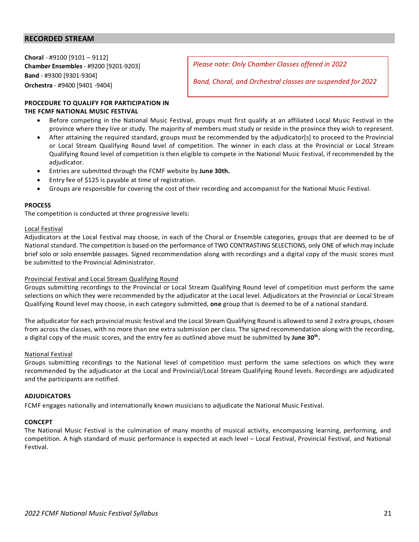#### **RECORDED STREAM**

**Choral** - #9100 [9101 – 9112] **Chamber Ensembles** - #9200 [9201-9203] **Band** - #9300 [9301-9304] **Orchestra** - #9400 [9401 -9404]

*Please note: Only Chamber Classes offered in 2022*

*Band, Choral, and Orchestral classes are suspended for 2022*

#### **PROCEDURE TO QUALIFY FOR PARTICIPATION IN THE FCMF NATIONAL MUSIC FESTIVAL**

- Before competing in the National Music Festival, groups must first qualify at an affiliated Local Music Festival in the province where they live or study. The majority of members must study or reside in the province they wish to represent.
- After attaining the required standard, groups must be recommended by the adjudicator[s] to proceed to the Provincial or Local Stream Qualifying Round level of competition. The winner in each class at the Provincial or Local Stream Qualifying Round level of competition is then eligible to compete in the National Music Festival, if recommended by the adjudicator.
- Entries are submitted through the FCMF website by **June 30th.**
- Entry fee of \$125 is payable at time of registration.
- Groups are responsible for covering the cost of their recording and accompanist for the National Music Festival.

#### **PROCESS**

The competition is conducted at three progressive levels:

#### Local Festival

Adjudicators at the Local Festival may choose, in each of the Choral or Ensemble categories, groups that are deemed to be of National standard. The competition is based on the performance of TWO CONTRASTING SELECTIONS, only ONE of which may include brief solo or solo ensemble passages. Signed recommendation along with recordings and a digital copy of the music scores must be submitted to the Provincial Administrator.

#### Provincial Festival and Local Stream Qualifying Round

Groups submitting recordings to the Provincial or Local Stream Qualifying Round level of competition must perform the same selections on which they were recommended by the adjudicator at the Local level. Adjudicators at the Provincial or Local Stream Qualifying Round level may choose, in each category submitted, **one** group that is deemed to be of a national standard.

The adjudicator for each provincial music festival and the Local Stream Qualifying Round is allowed to send 2 extra groups, chosen from across the classes, with no more than one extra submission per class. The signed recommendation along with the recording, a digital copy of the music scores, and the entry fee as outlined above must be submitted by **June 30th.** 

#### National Festival

Groups submitting recordings to the National level of competition must perform the same selections on which they were recommended by the adjudicator at the Local and Provincial/Local Stream Qualifying Round levels. Recordings are adjudicated and the participants are notified.

#### **ADJUDICATORS**

FCMF engages nationally and internationally known musicians to adjudicate the National Music Festival.

#### **CONCEPT**

The National Music Festival is the culmination of many months of musical activity, encompassing learning, performing, and competition. A high standard of music performance is expected at each level – Local Festival, Provincial Festival, and National Festival.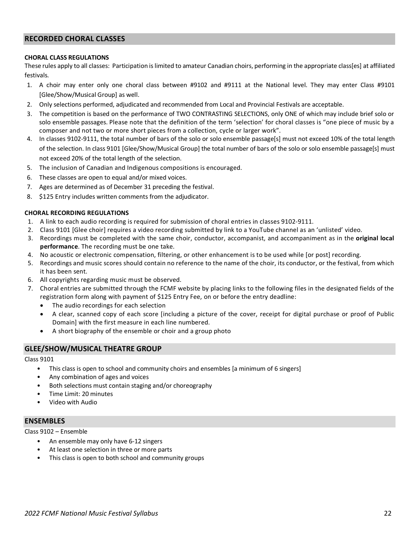#### <span id="page-21-0"></span>**RECORDED CHORAL CLASSES**

#### **CHORAL CLASS REGULATIONS**

These rules apply to all classes: Participation is limited to amateur Canadian choirs, performing in the appropriate class[es] at affiliated festivals.

- 1. A choir may enter only one choral class between #9102 and #9111 at the National level. They may enter Class #9101 [Glee/Show/Musical Group] as well.
- 2. Only selections performed, adjudicated and recommended from Local and Provincial Festivals are acceptable.
- 3. The competition is based on the performance of TWO CONTRASTING SELECTIONS, only ONE of which may include brief solo or solo ensemble passages. Please note that the definition of the term 'selection' for choral classes is "one piece of music by a composer and not two or more short pieces from a collection, cycle or larger work".
- 4. In classes 9102-9111, the total number of bars of the solo or solo ensemble passage[s] must not exceed 10% of the total length of the selection. In class 9101 [Glee/Show/Musical Group] the total number of bars of the solo or solo ensemble passage[s] must not exceed 20% of the total length of the selection.
- 5. The inclusion of Canadian and Indigenous compositions is encouraged.
- 6. These classes are open to equal and/or mixed voices.
- 7. Ages are determined as of December 31 preceding the festival.
- 8. \$125 Entry includes written comments from the adjudicator.

#### **CHORAL RECORDING REGULATIONS**

- 1. A link to each audio recording is required for submission of choral entries in classes 9102-9111.
- 2. Class 9101 [Glee choir] requires a video recording submitted by link to a YouTube channel as an 'unlisted' video.
- 3. Recordings must be completed with the same choir, conductor, accompanist, and accompaniment as in the **original local performance**. The recording must be one take.
- 4. No acoustic or electronic compensation, filtering, or other enhancement is to be used while [or post] recording.
- 5. Recordings and music scores should contain no reference to the name of the choir, its conductor, or the festival, from which it has been sent.
- 6. All copyrights regarding music must be observed.
- 7. Choral entries are submitted through the FCMF website by placing links to the following files in the designated fields of the registration form along with payment of \$125 Entry Fee, on or before the entry deadline:
	- The audio recordings for each selection
	- A clear, scanned copy of each score [including a picture of the cover, receipt for digital purchase or proof of Public Domain] with the first measure in each line numbered.
	- A short biography of the ensemble or choir and a group photo

#### **GLEE/SHOW/MUSICAL THEATRE GROUP**

Class 9101

- This class is open to school and community choirs and ensembles [a minimum of 6 singers]
- Any combination of ages and voices
- Both selections must contain staging and/or choreography
- Time Limit: 20 minutes
- Video with Audio

#### **ENSEMBLES**

Class 9102 – Ensemble

- An ensemble may only have 6-12 singers
- At least one selection in three or more parts
- This class is open to both school and community groups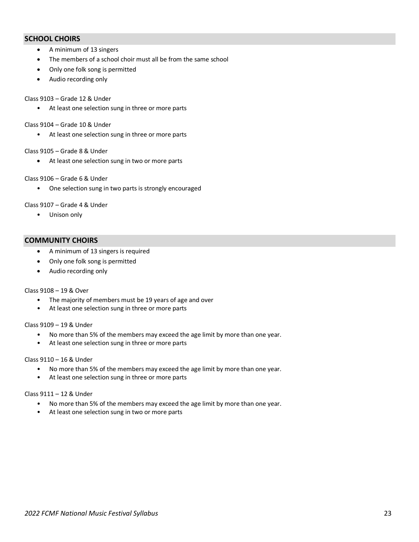#### **SCHOOL CHOIRS**

- A minimum of 13 singers
- The members of a school choir must all be from the same school
- Only one folk song is permitted
- Audio recording only

#### Class 9103 – Grade 12 & Under

• At least one selection sung in three or more parts

#### Class 9104 – Grade 10 & Under

• At least one selection sung in three or more parts

#### Class 9105 – Grade 8 & Under

• At least one selection sung in two or more parts

#### Class 9106 – Grade 6 & Under

• One selection sung in two parts is strongly encouraged

#### Class 9107 – Grade 4 & Under

• Unison only

#### **COMMUNITY CHOIRS**

- A minimum of 13 singers is required
- Only one folk song is permitted
- Audio recording only

#### Class 9108 – 19 & Over

- The majority of members must be 19 years of age and over
- At least one selection sung in three or more parts

#### Class 9109 – 19 & Under

- No more than 5% of the members may exceed the age limit by more than one year.
- At least one selection sung in three or more parts

#### Class 9110 – 16 & Under

- No more than 5% of the members may exceed the age limit by more than one year.
- At least one selection sung in three or more parts

#### Class 9111 – 12 & Under

- No more than 5% of the members may exceed the age limit by more than one year.
- At least one selection sung in two or more parts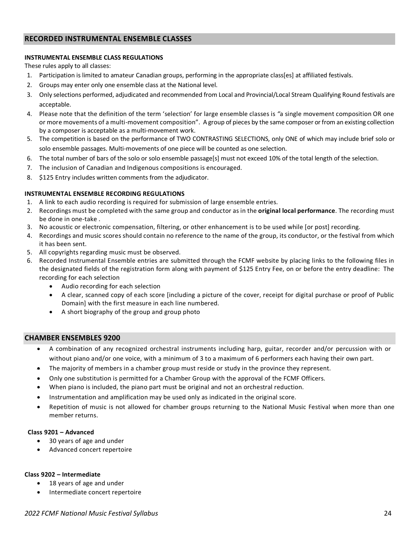#### <span id="page-23-0"></span>**RECORDED INSTRUMENTAL ENSEMBLE CLASSES**

#### **INSTRUMENTAL ENSEMBLE CLASS REGULATIONS**

These rules apply to all classes:

- 1. Participation is limited to amateur Canadian groups, performing in the appropriate class[es] at affiliated festivals.
- 2. Groups may enter only one ensemble class at the National level.
- 3. Only selections performed, adjudicated and recommended from Local and Provincial/Local Stream Qualifying Round festivals are acceptable.
- 4. Please note that the definition of the term 'selection' for large ensemble classes is *"*a single movement composition OR one or more movements of a multi-movement composition". A group of pieces by the same composer or from an existing collection by a composer is acceptable as a multi-movement work.
- 5. The competition is based on the performance of TWO CONTRASTING SELECTIONS, only ONE of which may include brief solo or solo ensemble passages. Multi-movements of one piece will be counted as one selection.
- 6. The total number of bars of the solo or solo ensemble passage[s] must not exceed 10% of the total length of the selection.
- 7. The inclusion of Canadian and Indigenous compositions is encouraged.
- 8. \$125 Entry includes written comments from the adjudicator.

#### **INSTRUMENTAL ENSEMBLE RECORDING REGULATIONS**

- 1. A link to each audio recording is required for submission of large ensemble entries.
- 2. Recordings must be completed with the same group and conductor as in the **original local performance**. The recording must be done in one-take .
- 3. No acoustic or electronic compensation, filtering, or other enhancement is to be used while [or post] recording.
- 4. Recordings and music scores should contain no reference to the name of the group, its conductor, or the festival from which it has been sent.
- 5. All copyrights regarding music must be observed.
- 6. Recorded Instrumental Ensemble entries are submitted through the FCMF website by placing links to the following files in the designated fields of the registration form along with payment of \$125 Entry Fee, on or before the entry deadline: The recording for each selection
	- Audio recording for each selection
	- A clear, scanned copy of each score [including a picture of the cover, receipt for digital purchase or proof of Public Domain] with the first measure in each line numbered.
	- A short biography of the group and group photo

#### **CHAMBER ENSEMBLES 9200**

- A combination of any recognized orchestral instruments including harp, guitar, recorder and/or percussion with or without piano and/or one voice, with a minimum of 3 to a maximum of 6 performers each having their own part.
- The majority of members in a chamber group must reside or study in the province they represent.
- Only one substitution is permitted for a Chamber Group with the approval of the FCMF Officers.
- When piano is included, the piano part must be original and not an orchestral reduction.
- Instrumentation and amplification may be used only as indicated in the original score.
- Repetition of music is not allowed for chamber groups returning to the National Music Festival when more than one member returns.

#### **Class 9201 – Advanced**

- 30 years of age and under
- Advanced concert repertoire

#### **Class 9202 – Intermediate**

- 18 years of age and under
- Intermediate concert repertoire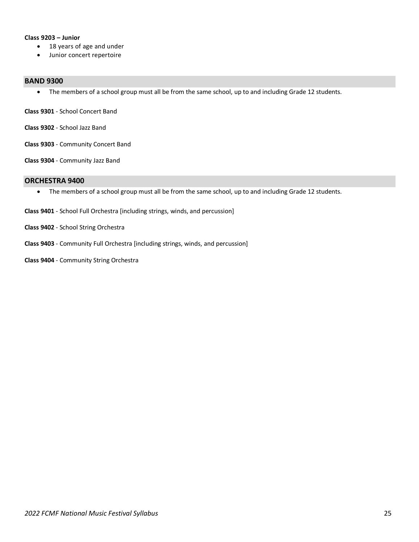#### **Class 9203 – Junior**

- 18 years of age and under
- Junior concert repertoire

#### **BAND 9300**

• The members of a school group must all be from the same school, up to and including Grade 12 students.

**Class 9301** - School Concert Band

- **Class 9302** School Jazz Band
- **Class 9303** Community Concert Band

**Class 9304** - Community Jazz Band

#### **ORCHESTRA 9400**

- The members of a school group must all be from the same school, up to and including Grade 12 students.
- **Class 9401** School Full Orchestra [including strings, winds, and percussion]
- **Class 9402** School String Orchestra
- **Class 9403** Community Full Orchestra [including strings, winds, and percussion]
- **Class 9404** Community String Orchestra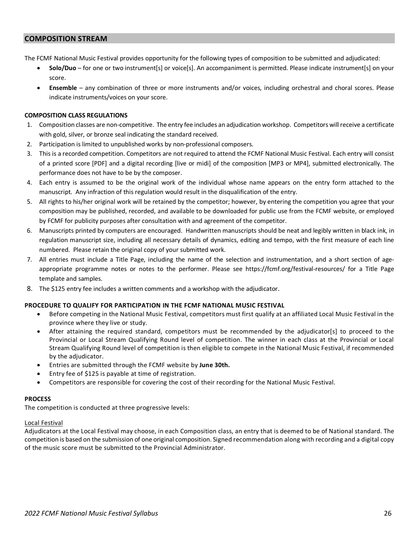#### **COMPOSITION STREAM**

The FCMF National Music Festival provides opportunity for the following types of composition to be submitted and adjudicated:

- **Solo/Duo** for one or two instrument[s] or voice[s]. An accompaniment is permitted. Please indicate instrument[s] on your score.
- **Ensemble** any combination of three or more instruments and/or voices, including orchestral and choral scores. Please indicate instruments/voices on your score.

#### **COMPOSITION CLASS REGULATIONS**

- 1. Composition classes are non-competitive. The entry fee includes an adjudication workshop. Competitors will receive a certificate with gold, silver, or bronze seal indicating the standard received.
- 2. Participation is limited to unpublished works by non-professional composers.
- 3. This is a recorded competition. Competitors are not required to attend the FCMF National Music Festival. Each entry will consist of a printed score [PDF] and a digital recording [live or midi] of the composition [MP3 or MP4], submitted electronically. The performance does not have to be by the composer.
- 4. Each entry is assumed to be the original work of the individual whose name appears on the entry form attached to the manuscript. Any infraction of this regulation would result in the disqualification of the entry.
- 5. All rights to his/her original work will be retained by the competitor; however, by entering the competition you agree that your composition may be published, recorded, and available to be downloaded for public use from the FCMF website, or employed by FCMF for publicity purposes after consultation with and agreement of the competitor.
- 6. Manuscripts printed by computers are encouraged. Handwritten manuscripts should be neat and legibly written in black ink, in regulation manuscript size, including all necessary details of dynamics, editing and tempo, with the first measure of each line numbered. Please retain the original copy of your submitted work.
- 7. All entries must include a Title Page, including the name of the selection and instrumentation, and a short section of ageappropriate programme notes or notes to the performer. Please see https://fcmf.org/festival-resources/ for a Title Page template and samples.
- 8. The \$125 entry fee includes a written comments and a workshop with the adjudicator.

#### **PROCEDURE TO QUALIFY FOR PARTICIPATION IN THE FCMF NATIONAL MUSIC FESTIVAL**

- Before competing in the National Music Festival, competitors must first qualify at an affiliated Local Music Festival in the province where they live or study.
- After attaining the required standard, competitors must be recommended by the adjudicator[s] to proceed to the Provincial or Local Stream Qualifying Round level of competition. The winner in each class at the Provincial or Local Stream Qualifying Round level of competition is then eligible to compete in the National Music Festival, if recommended by the adjudicator.
- Entries are submitted through the FCMF website by **June 30th.**
- Entry fee of \$125 is payable at time of registration.
- Competitors are responsible for covering the cost of their recording for the National Music Festival.

#### **PROCESS**

The competition is conducted at three progressive levels:

#### Local Festival

Adjudicators at the Local Festival may choose, in each Composition class, an entry that is deemed to be of National standard. The competition is based on the submission of one original composition. Signed recommendation along with recording and a digital copy of the music score must be submitted to the Provincial Administrator.